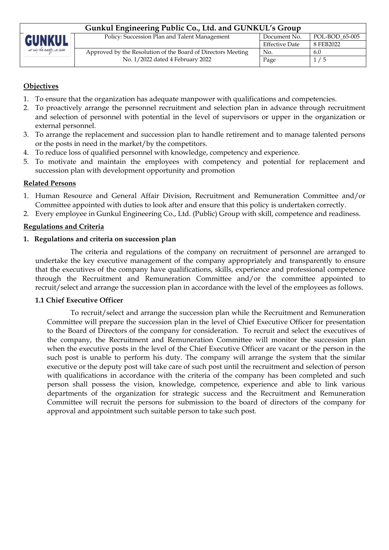| Gunkul Engineering Public Co., Ltd. and GUNKUL's Group |                                                              |                       |                |  |
|--------------------------------------------------------|--------------------------------------------------------------|-----------------------|----------------|--|
| <b>GUNKUL</b>                                          | Policy: Succession Plan and Talent Management                | Document No.          | POL-BOD 65-005 |  |
|                                                        |                                                              | <b>Effective Date</b> | 8 FEB2022      |  |
| at only the every y we care                            | Approved by the Resolution of the Board of Directors Meeting | No.                   | 6.0            |  |
|                                                        | No. 1/2022 dated 4 February 2022                             | Page                  | 1/5            |  |

# **Objectives**

- 1. To ensure that the organization has adequate manpower with qualifications and competencies.
- 2. To proactively arrange the personnel recruitment and selection plan in advance through recruitment and selection of personnel with potential in the level of supervisors or upper in the organization or external personnel.
- 3. To arrange the replacement and succession plan to handle retirement and to manage talented persons or the posts in need in the market/by the competitors.
- 4. To reduce loss of qualified personnel with knowledge, competency and experience.
- 5. To motivate and maintain the employees with competency and potential for replacement and succession plan with development opportunity and promotion

#### **Related Persons**

- 1. Human Resource and General Affair Division, Recruitment and Remuneration Committee and/or Committee appointed with duties to look after and ensure that this policy is undertaken correctly.
- 2. Every employee in Gunkul Engineering Co., Ltd. (Public) Group with skill, competence and readiness.

#### **Regulations and Criteria**

#### **1. Regulations and criteria on succession plan**

The criteria and regulations of the company on recruitment of personnel are arranged to undertake the key executive management of the company appropriately and transparently to ensure that the executives of the company have qualifications, skills, experience and professional competence through the Recruitment and Remuneration Committee and/or the committee appointed to recruit/select and arrange the succession plan in accordance with the level of the employees as follows.

#### **1.1 Chief Executive Officer**

To recruit/select and arrange the succession plan while the Recruitment and Remuneration Committee will prepare the succession plan in the level of Chief Executive Officer for presentation to the Board of Directors of the company for consideration. To recruit and select the executives of the company, the Recruitment and Remuneration Committee will monitor the succession plan when the executive posts in the level of the Chief Executive Officer are vacant or the person in the such post is unable to perform his duty. The company will arrange the system that the similar executive or the deputy post will take care of such post until the recruitment and selection of person with qualifications in accordance with the criteria of the company has been completed and such person shall possess the vision, knowledge, competence, experience and able to link various departments of the organization for strategic success and the Recruitment and Remuneration Committee will recruit the persons for submission to the board of directors of the company for approval and appointment such suitable person to take such post.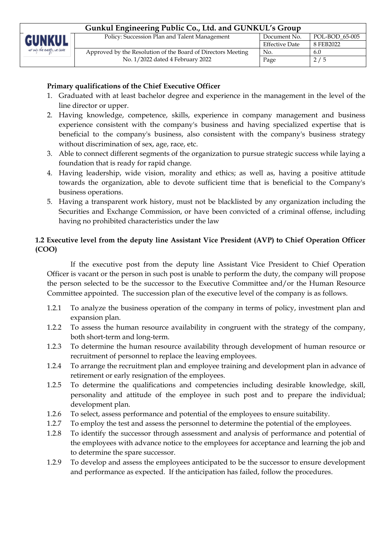| Gunkul Engineering Public Co., Ltd. and GUNKUL's Group |                                                                                                  |                       |                |  |
|--------------------------------------------------------|--------------------------------------------------------------------------------------------------|-----------------------|----------------|--|
| <b>GUNKUL</b><br>to only the every, we care            | Policy: Succession Plan and Talent Management                                                    | Document No.          | POL-BOD 65-005 |  |
|                                                        |                                                                                                  | <b>Effective Date</b> | 8 FEB2022      |  |
|                                                        | Approved by the Resolution of the Board of Directors Meeting<br>No. 1/2022 dated 4 February 2022 | No.                   | 6.0            |  |
|                                                        |                                                                                                  | Page                  | 2/5            |  |
|                                                        |                                                                                                  |                       |                |  |

# **Primary qualifications of the Chief Executive Officer**

- 1. Graduated with at least bachelor degree and experience in the management in the level of the line director or upper.
- 2. Having knowledge, competence, skills, experience in company management and business experience consistent with the company's business and having specialized expertise that is beneficial to the company's business, also consistent with the company's business strategy without discrimination of sex, age, race, etc.
- 3. Able to connect different segments of the organization to pursue strategic success while laying a foundation that is ready for rapid change.
- 4. Having leadership, wide vision, morality and ethics; as well as, having a positive attitude towards the organization, able to devote sufficient time that is beneficial to the Company's business operations.
- 5. Having a transparent work history, must not be blacklisted by any organization including the Securities and Exchange Commission, or have been convicted of a criminal offense, including having no prohibited characteristics under the law

# **1.2 Executive level from the deputy line Assistant Vice President (AVP) to Chief Operation Officer (COO)**

If the executive post from the deputy line Assistant Vice President to Chief Operation Officer is vacant or the person in such post is unable to perform the duty, the company will propose the person selected to be the successor to the Executive Committee and/or the Human Resource Committee appointed. The succession plan of the executive level of the company is as follows.

- 1.2.1 To analyze the business operation of the company in terms of policy, investment plan and expansion plan.
- 1.2.2 To assess the human resource availability in congruent with the strategy of the company, both short-term and long-term.
- 1.2.3 To determine the human resource availability through development of human resource or recruitment of personnel to replace the leaving employees.
- 1.2.4 To arrange the recruitment plan and employee training and development plan in advance of retirement or early resignation of the employees.
- 1.2.5 To determine the qualifications and competencies including desirable knowledge, skill, personality and attitude of the employee in such post and to prepare the individual; development plan.
- 1.2.6 To select, assess performance and potential of the employees to ensure suitability.
- 1.2.7 To employ the test and assess the personnel to determine the potential of the employees.
- 1.2.8 To identify the successor through assessment and analysis of performance and potential of the employees with advance notice to the employees for acceptance and learning the job and to determine the spare successor.
- 1.2.9 To develop and assess the employees anticipated to be the successor to ensure development and performance as expected. If the anticipation has failed, follow the procedures.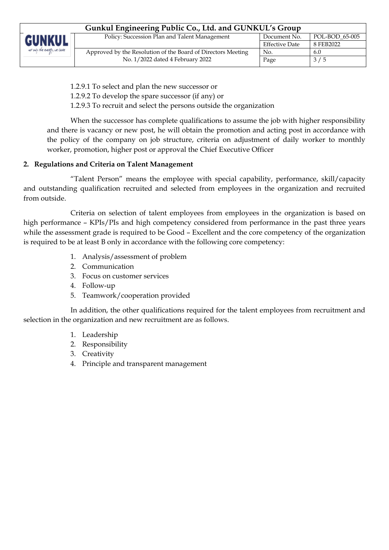| Gunkul Engineering Public Co., Ltd. and GUNKUL's Group |                                                              |                |                |  |
|--------------------------------------------------------|--------------------------------------------------------------|----------------|----------------|--|
| <b>GUNKUL</b>                                          | Policy: Succession Plan and Talent Management                | Document No.   | POL-BOD 65-005 |  |
|                                                        |                                                              | Effective Date | 8 FEB2022      |  |
| to only the every, we care                             | Approved by the Resolution of the Board of Directors Meeting | No.            | 6.0            |  |
|                                                        | No. 1/2022 dated 4 February 2022                             | Page           | 3/5            |  |

1.2.9.1 To select and plan the new successor or

1.2.9.2 To develop the spare successor (if any) or

1.2.9.3 To recruit and select the persons outside the organization

When the successor has complete qualifications to assume the job with higher responsibility and there is vacancy or new post, he will obtain the promotion and acting post in accordance with the policy of the company on job structure, criteria on adjustment of daily worker to monthly worker, promotion, higher post or approval the Chief Executive Officer

# **2. Regulations and Criteria on Talent Management**

"Talent Person" means the employee with special capability, performance, skill/capacity and outstanding qualification recruited and selected from employees in the organization and recruited from outside.

Criteria on selection of talent employees from employees in the organization is based on high performance – KPIs/PIs and high competency considered from performance in the past three years while the assessment grade is required to be Good – Excellent and the core competency of the organization is required to be at least B only in accordance with the following core competency:

- 1. Analysis/assessment of problem
- 2. Communication
- 3. Focus on customer services
- 4. Follow-up
- 5. Teamwork/cooperation provided

In addition, the other qualifications required for the talent employees from recruitment and selection in the organization and new recruitment are as follows.

- 1. Leadership
- 2. Responsibility
- 3. Creativity
- 4. Principle and transparent management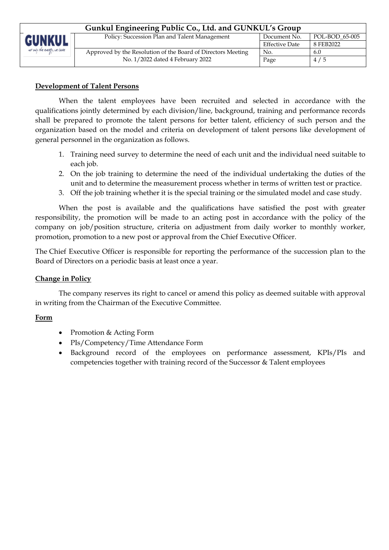| Gunkul Engineering Public Co., Ltd. and GUNKUL's Group |                                                              |                       |                |  |
|--------------------------------------------------------|--------------------------------------------------------------|-----------------------|----------------|--|
| <b>GUNKUL</b><br>as only the every, we care            | Policy: Succession Plan and Talent Management                | Document No.          | POL-BOD 65-005 |  |
|                                                        |                                                              | <b>Effective Date</b> | 8 FEB2022      |  |
|                                                        | Approved by the Resolution of the Board of Directors Meeting | No.                   | 6.0            |  |
|                                                        | No. 1/2022 dated 4 February 2022                             | Page                  | 4/5            |  |

### **Development of Talent Persons**

When the talent employees have been recruited and selected in accordance with the qualifications jointly determined by each division/line, background, training and performance records shall be prepared to promote the talent persons for better talent, efficiency of such person and the organization based on the model and criteria on development of talent persons like development of general personnel in the organization as follows.

- 1. Training need survey to determine the need of each unit and the individual need suitable to each job.
- 2. On the job training to determine the need of the individual undertaking the duties of the unit and to determine the measurement process whether in terms of written test or practice.
- 3. Off the job training whether it is the special training or the simulated model and case study.

When the post is available and the qualifications have satisfied the post with greater responsibility, the promotion will be made to an acting post in accordance with the policy of the company on job/position structure, criteria on adjustment from daily worker to monthly worker, promotion, promotion to a new post or approval from the Chief Executive Officer.

The Chief Executive Officer is responsible for reporting the performance of the succession plan to the Board of Directors on a periodic basis at least once a year.

### **Change in Policy**

The company reserves its right to cancel or amend this policy as deemed suitable with approval in writing from the Chairman of the Executive Committee.

#### **Form**

- Promotion & Acting Form
- PIs/Competency/Time Attendance Form
- Background record of the employees on performance assessment, KPIs/PIs and competencies together with training record of the Successor & Talent employees